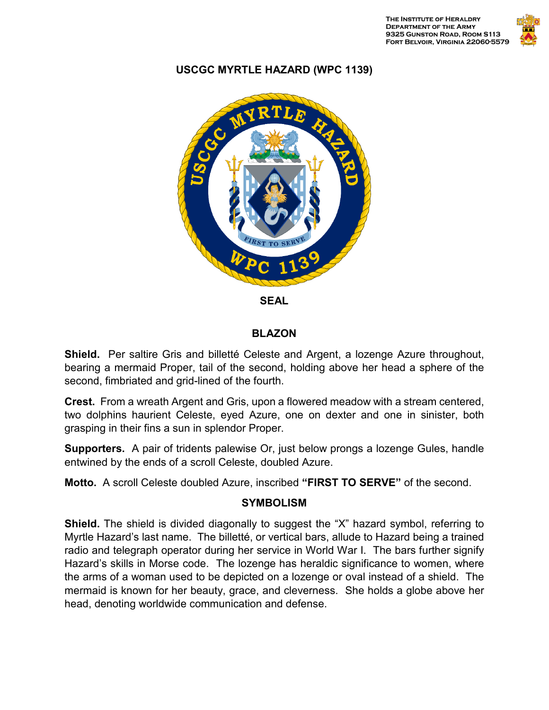

## **USCGC MYRTLE HAZARD (WPC 1139)**



**SEAL**

## **BLAZON**

**Shield.** Per saltire Gris and billetté Celeste and Argent, a lozenge Azure throughout, bearing a mermaid Proper, tail of the second, holding above her head a sphere of the second, fimbriated and grid-lined of the fourth.

**Crest.** From a wreath Argent and Gris, upon a flowered meadow with a stream centered, two dolphins haurient Celeste, eyed Azure, one on dexter and one in sinister, both grasping in their fins a sun in splendor Proper.

**Supporters.** A pair of tridents palewise Or, just below prongs a lozenge Gules, handle entwined by the ends of a scroll Celeste, doubled Azure.

**Motto.** A scroll Celeste doubled Azure, inscribed **"FIRST TO SERVE"** of the second.

## **SYMBOLISM**

**Shield.** The shield is divided diagonally to suggest the "X" hazard symbol, referring to Myrtle Hazard's last name. The billetté, or vertical bars, allude to Hazard being a trained radio and telegraph operator during her service in World War I. The bars further signify Hazard's skills in Morse code. The lozenge has heraldic significance to women, where the arms of a woman used to be depicted on a lozenge or oval instead of a shield. The mermaid is known for her beauty, grace, and cleverness. She holds a globe above her head, denoting worldwide communication and defense.